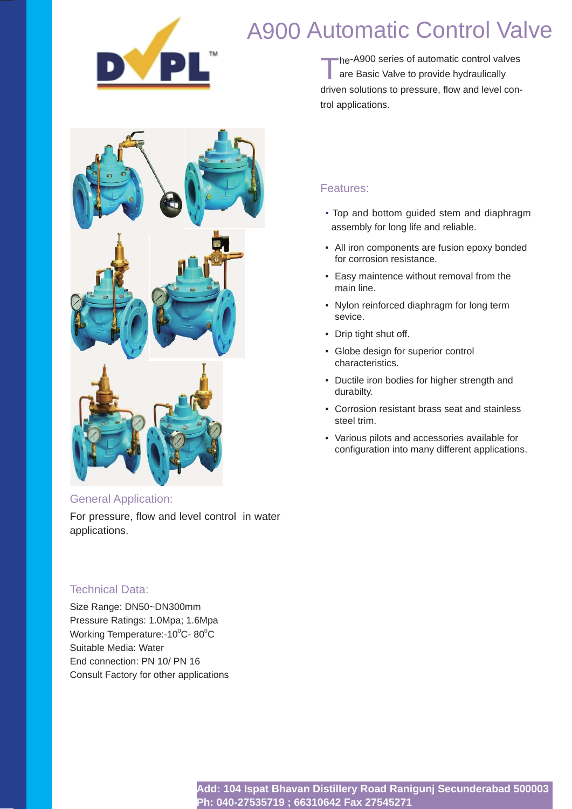

# A900 Automatic Control Valve

The-A900 series of automatic control valves<br>
are Basic Valve to provide hydraulically driven solutions to pressure, flow and level control applications.



### General Application:

For pressure, flow and level control in water applications.

### Technical Data:

Size Range: DN50~DN300mm Pressure Ratings: 1.0Mpa; 1.6Mpa Working Temperature:- $10^{\circ}$ C- 80 $^{\circ}$ C Suitable Media: Water End connection: PN 10/ PN 16 Consult Factory for other applications

# Features:

- ·Top and bottom guided stem and diaphragm assembly for long life and reliable.
- All iron components are fusion epoxy bonded for corrosion resistance.
- Easy maintence without removal from the main line.
- Nylon reinforced diaphragm for long term sevice.
- Drip tight shut off.
- Globe design for superior control characteristics.
- Ductile iron bodies for higher strength and durabilty.
- Corrosion resistant brass seat and stainless steel trim.
- Various pilots and accessories available for configuration into many different applications.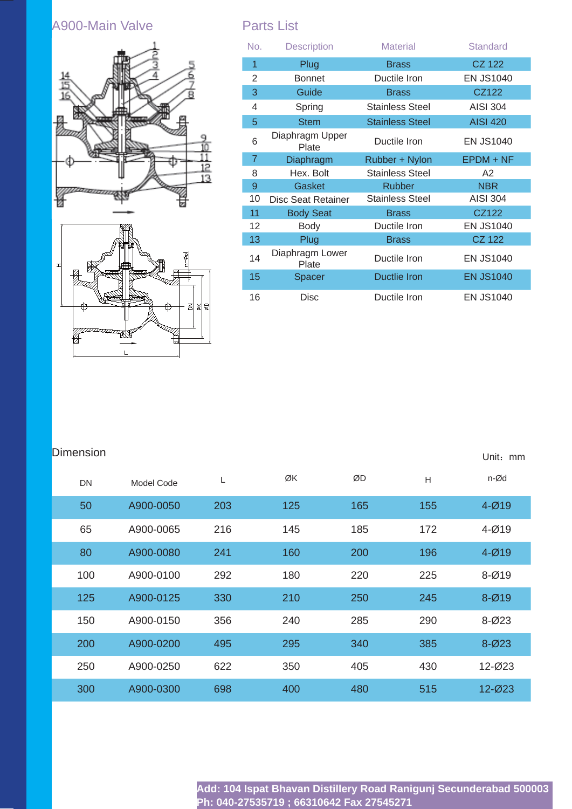# A900-Main Valve **Parts List**





| No.            | <b>Description</b>        | <b>Material</b>        | <b>Standard</b>  |
|----------------|---------------------------|------------------------|------------------|
| 1              | Plug                      | <b>Brass</b>           | <b>CZ 122</b>    |
| 2              | <b>Bonnet</b>             | Ductile Iron           | <b>EN JS1040</b> |
| 3              | Guide                     | <b>Brass</b>           | CZ122            |
| 4              | Spring                    | Stainless Steel        | <b>AISI 304</b>  |
| 5              | <b>Stem</b>               | <b>Stainless Steel</b> | <b>AISI 420</b>  |
| 6              | Diaphragm Upper<br>Plate  | Ductile Iron           | <b>EN JS1040</b> |
| $\overline{7}$ | Diaphragm                 | Rubber + Nylon         | $E$ PDM + NF     |
| 8              | Hex. Bolt                 | <b>Stainless Steel</b> | A2               |
| 9              | Gasket                    | <b>Rubber</b>          | <b>NBR</b>       |
| 10             | <b>Disc Seat Retainer</b> | <b>Stainless Steel</b> | <b>AISI 304</b>  |
| 11             | <b>Body Seat</b>          | <b>Brass</b>           | CZ122            |
| 12             | <b>Body</b>               | Ductile Iron           | <b>EN JS1040</b> |
| 13             | Plug                      | <b>Brass</b>           | <b>CZ 122</b>    |
| 14             | Diaphragm Lower<br>Plate  | Ductile Iron           | <b>EN JS1040</b> |
| 15             | Spacer                    | <b>Ductlie Iron</b>    | <b>EN JS1040</b> |
| 16             | Disc                      | Ductile Iron           | <b>EN JS1040</b> |

Unit: mm

# **Dimension**

| <b>DN</b> | Model Code | L   | ØK  | ØD  | H   | n-Ød       |
|-----------|------------|-----|-----|-----|-----|------------|
| 50        | A900-0050  | 203 | 125 | 165 | 155 | $4 - Ø19$  |
| 65        | A900-0065  | 216 | 145 | 185 | 172 | $4 - Ø19$  |
| 80        | A900-0080  | 241 | 160 | 200 | 196 | $4 - Ø19$  |
| 100       | A900-0100  | 292 | 180 | 220 | 225 | $8 - Ø19$  |
| 125       | A900-0125  | 330 | 210 | 250 | 245 | $8 - Ø19$  |
| 150       | A900-0150  | 356 | 240 | 285 | 290 | $8 - 023$  |
| 200       | A900-0200  | 495 | 295 | 340 | 385 | $8 - 023$  |
| 250       | A900-0250  | 622 | 350 | 405 | 430 | 12-Ø23     |
| 300       | A900-0300  | 698 | 400 | 480 | 515 | $12 - 023$ |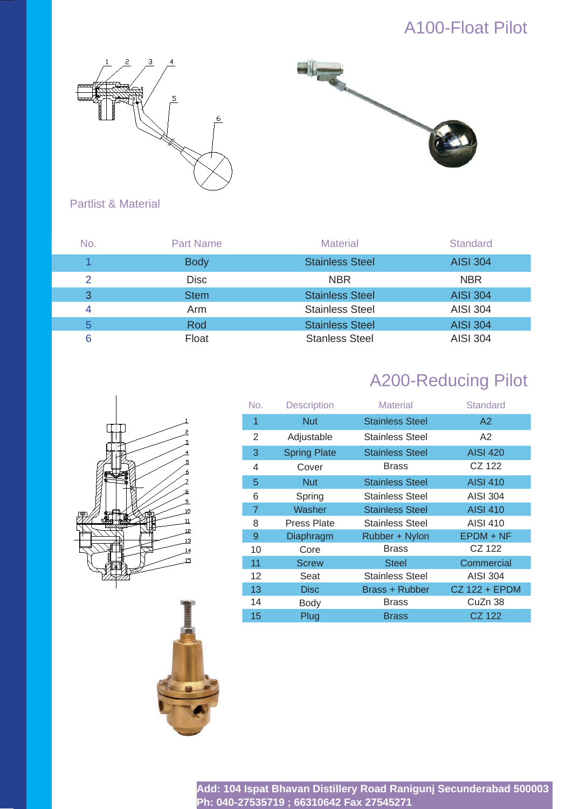# A100-Float Pilot





# Partlist & Material

| No. | <b>Part Name</b> | <b>Material</b>        | <b>Standard</b> |
|-----|------------------|------------------------|-----------------|
|     | <b>Body</b>      | <b>Stainless Steel</b> | <b>AISI 304</b> |
| 2   | <b>Disc</b>      | <b>NBR</b>             | <b>NBR</b>      |
| 3   | <b>Stem</b>      | <b>Stainless Steel</b> | <b>AISI 304</b> |
| 4   | Arm              | <b>Stainless Steel</b> | <b>AISI 304</b> |
| 5   | Rod              | <b>Stainless Steel</b> | <b>AISI 304</b> |
| 6   | Float            | <b>Stanless Steel</b>  | <b>AISI 304</b> |

# A200-Reducing Pilot

| 7<br>a<br>d<br>8<br>$\overline{9}$<br>10<br>ŕf<br>T<br>w<br>Ш<br>78<br>$\overline{11}$<br>रु<br>Р<br>12<br>13<br>J.<br>$\frac{14}{1}$<br>15 |
|---------------------------------------------------------------------------------------------------------------------------------------------|
|---------------------------------------------------------------------------------------------------------------------------------------------|



| No.            | <b>Description</b>  | <b>Material</b>        | <b>Standard</b> |
|----------------|---------------------|------------------------|-----------------|
| 1              | <b>Nut</b>          | <b>Stainless Steel</b> | A2              |
| 2              | Adjustable          | Stainless Steel        | A2              |
| 3              | <b>Spring Plate</b> | <b>Stainless Steel</b> | <b>AISI 420</b> |
| 4              | Cover               | <b>Brass</b>           | CZ 122          |
| 5              | <b>Nut</b>          | <b>Stainless Steel</b> | <b>AISI 410</b> |
| 6              | Spring              | Stainless Steel        | AISI 304        |
| $\overline{7}$ | Washer              | <b>Stainless Steel</b> | <b>AISI 410</b> |
| 8              | <b>Press Plate</b>  | <b>Stainless Steel</b> | AISI 410        |
| 9              | Diaphragm           | Rubber + Nylon         | $E$ PDM + NF    |
| 10             | Core                | <b>Brass</b>           | CZ 122          |
| 11             | <b>Screw</b>        | Steel                  | Commercial      |
| 12             | Seat                | <b>Stainless Steel</b> | AISI 304        |
| 13             | <b>Disc</b>         | Brass + Rubber         | CZ 122 + EPDM   |
| 14             | <b>Body</b>         | <b>Brass</b>           | CuZn 38         |
| 15             | Plug                | Brass                  | CZ 122          |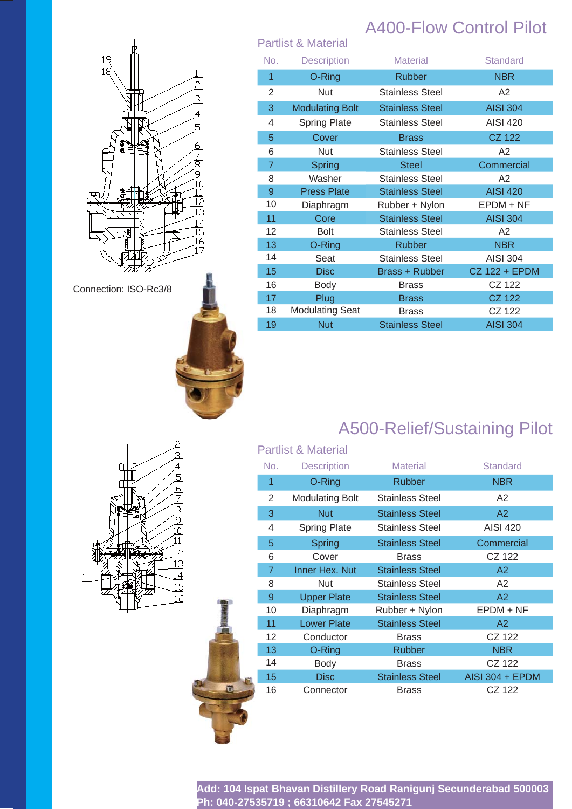

Connection: ISO-Rc3/8



# A400-Flow Control Pilot

|                | <b>Partlist &amp; Material</b> |                        |                 |
|----------------|--------------------------------|------------------------|-----------------|
| No.            | <b>Description</b>             | <b>Material</b>        | Standard        |
| 1              | O-Ring                         | <b>Rubber</b>          | <b>NBR</b>      |
| 2              | Nut                            | <b>Stainless Steel</b> | A2              |
| 3              | <b>Modulating Bolt</b>         | <b>Stainless Steel</b> | <b>AISI 304</b> |
| 4              | <b>Spring Plate</b>            | <b>Stainless Steel</b> | <b>AISI 420</b> |
| 5              | Cover                          | <b>Brass</b>           | <b>CZ 122</b>   |
| 6              | Nut                            | <b>Stainless Steel</b> | A2              |
| $\overline{7}$ | Spring                         | <b>Steel</b>           | Commercial      |
| 8              | Washer                         | <b>Stainless Steel</b> | A2              |
| 9              | <b>Press Plate</b>             | <b>Stainless Steel</b> | <b>AISI 420</b> |
| 10             | Diaphragm                      | Rubber + Nylon         | EPDM + NF       |
| 11             | Core                           | <b>Stainless Steel</b> | <b>AISI 304</b> |
| 12             | <b>Bolt</b>                    | <b>Stainless Steel</b> | A2              |
| 13             | O-Ring                         | <b>Rubber</b>          | <b>NBR</b>      |
| 14             | Seat                           | <b>Stainless Steel</b> | <b>AISI 304</b> |
| 15             | <b>Disc</b>                    | Brass + Rubber         | CZ 122 + EPDM   |
| 16             | Body                           | Brass                  | CZ 122          |
| 17             | Plug                           | <b>Brass</b>           | <b>CZ 122</b>   |
| 18             | <b>Modulating Seat</b>         | <b>Brass</b>           | CZ 122          |
| 19             | <b>Nut</b>                     | <b>Stainless Steel</b> | <b>AISI 304</b> |

# A500-Relief/Sustaining Pilot



|   |                | <b>Partlist &amp; Material</b> |                        |                        |
|---|----------------|--------------------------------|------------------------|------------------------|
|   | No.            | <b>Description</b>             | <b>Material</b>        | <b>Standard</b>        |
|   | 1              | O-Ring                         | <b>Rubber</b>          | <b>NBR</b>             |
|   | 2              | <b>Modulating Bolt</b>         | <b>Stainless Steel</b> | A <sub>2</sub>         |
|   | 3              | <b>Nut</b>                     | <b>Stainless Steel</b> | A2                     |
|   | 4              | <b>Spring Plate</b>            | <b>Stainless Steel</b> | <b>AISI 420</b>        |
|   | 5              | Spring                         | <b>Stainless Steel</b> | Commercial             |
|   | 6              | Cover                          | <b>Brass</b>           | CZ 122                 |
|   | $\overline{7}$ | Inner Hex. Nut                 | <b>Stainless Steel</b> | A2                     |
|   | 8              | Nut                            | <b>Stainless Steel</b> | A <sub>2</sub>         |
|   | 9              | <b>Upper Plate</b>             | <b>Stainless Steel</b> | A2                     |
|   | 10             | Diaphragm                      | Rubber + Nylon         | $E$ PDM + NF           |
|   | 11             | <b>Lower Plate</b>             | <b>Stainless Steel</b> | A2                     |
|   | 12             | Conductor                      | <b>Brass</b>           | CZ 122                 |
|   | 13             | O-Ring                         | <b>Rubber</b>          | <b>NBR</b>             |
|   | 14             | Body                           | <b>Brass</b>           | CZ 122                 |
|   | 15             | <b>Disc</b>                    | <b>Stainless Steel</b> | <b>AISI 304 + EPDM</b> |
| 圃 | 16             | Connector                      | <b>Brass</b>           | CZ 122                 |
|   |                |                                |                        |                        |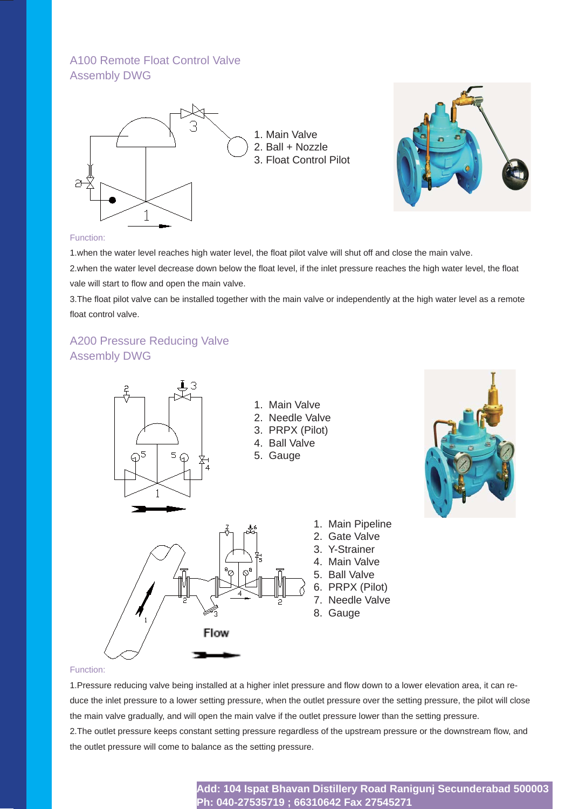# A100 Remote Float Control Valve Assembly DWG





#### Function:

1. when the water level reaches high water level, the float pilot valve will shut off and close the main valve.

2.when the water level decrease down below the float level, if the inlet pressure reaches the high water level, the float vale will start to flow and open the main valve.

3. The float pilot valve can be installed together with the main valve or independently at the high water level as a remote float control valve.

# A200 Pressure Reducing Valve Assembly DWG



#### Function:

1. Pressure reducing valve being installed at a higher inlet pressure and flow down to a lower elevation area, it can reduce the inlet pressure to a lower setting pressure, when the outlet pressure over the setting pressure, the pilot will close the main valve gradually, and will open the main valve if the outlet pressure lower than the setting pressure. 2. The outlet pressure keeps constant setting pressure regardless of the upstream pressure or the downstream flow, and the outlet pressure will come to balance as the setting pressure.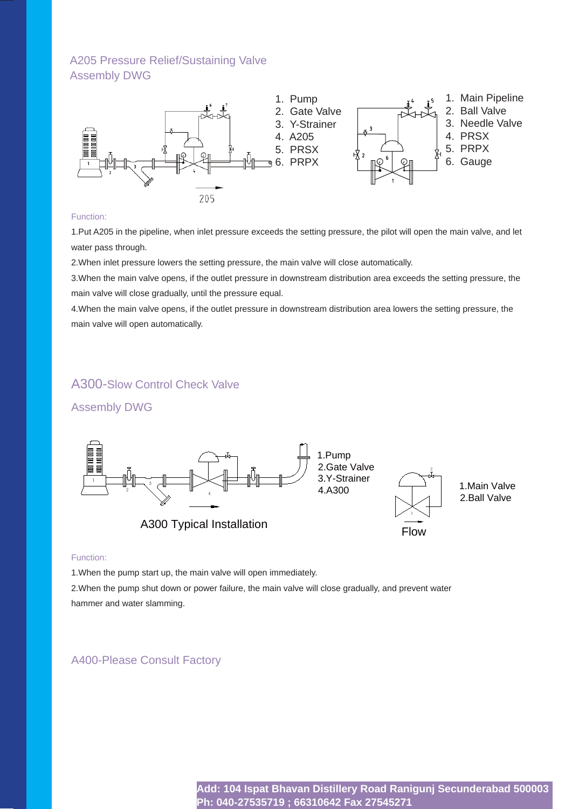# A205 Pressure Relief/Sustaining Valve Assembly DWG



#### Function:

1.Put A205 in the pipeline, when inlet pressure exceeds the setting pressure, the pilot will open the main valve, and let water pass through.

2.When inlet pressure lowers the setting pressure, the main valve will close automatically.

3.When the main valve opens, if the outlet pressure in downstream distribution area exceeds the setting pressure, the main valve will close gradually, until the pressure equal.

4.When the main valve opens, if the outlet pressure in downstream distribution area lowers the setting pressure, the main valve will open automatically.

# A300-Slow Control Check Valve

### Assembly DWG



#### Function:

1.When the pump start up, the main valve will open immediately.

2.When the pump shut down or power failure, the main valve will close gradually, and prevent water hammer and water slamming.

### A400-Please Consult Factory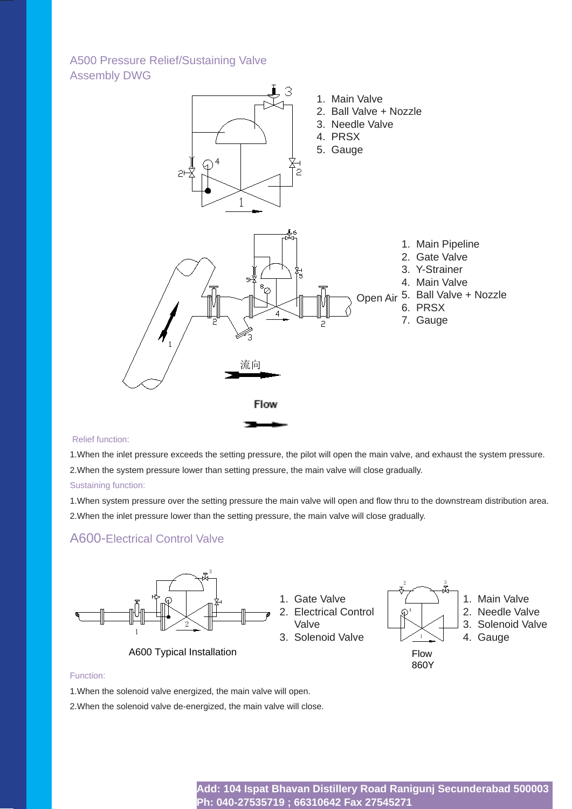### A500 Pressure Relief/Sustaining Valve Assembly DWG



### Relief function:

1.When the inlet pressure exceeds the setting pressure, the pilot will open the main valve, and exhaust the system pressure. 2.When the system pressure lower than setting pressure, the main valve will close gradually.

#### Sustaining function:

1. When system pressure over the setting pressure the main valve will open and flow thru to the downstream distribution area. 2.When the inlet pressure lower than the setting pressure, the main valve will close gradually.

### A600-Electrical Control Valve



### Function:

1.When the solenoid valve energized, the main valve will open.

2.When the solenoid valve de-energized, the main valve will close.